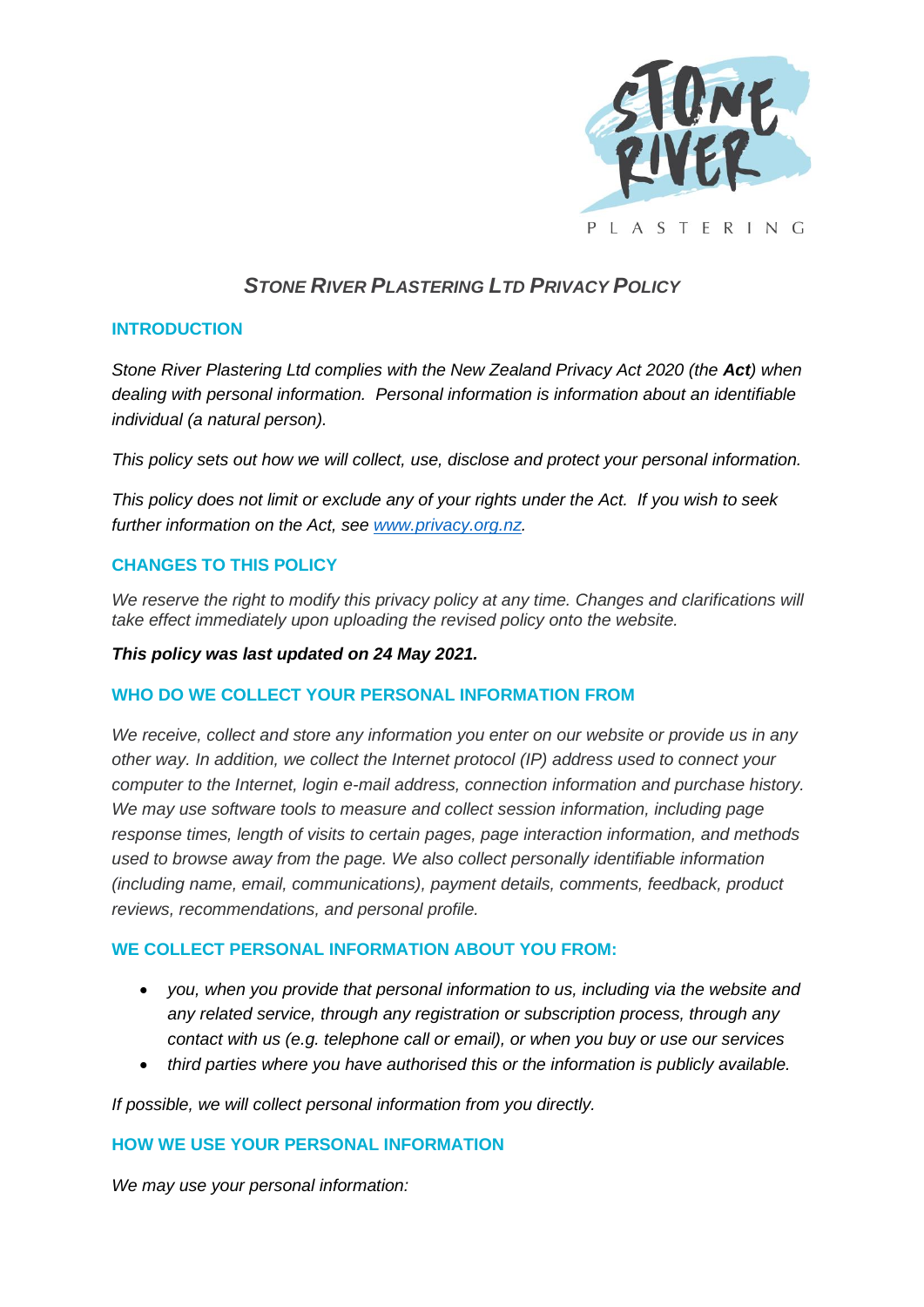

# *STONE RIVER PLASTERING LTD PRIVACY POLICY*

## **INTRODUCTION**

*Stone River Plastering Ltd complies with the New Zealand Privacy Act 2020 (the Act) when dealing with personal information. Personal information is information about an identifiable individual (a natural person).*

*This policy sets out how we will collect, use, disclose and protect your personal information.*

*This policy does not limit or exclude any of your rights under the Act. If you wish to seek further information on the Act, see [www.privacy.org.nz.](http://www.privacy.org.nz/)*

## **CHANGES TO THIS POLICY**

We reserve the right to modify this privacy policy at any time. Changes and clarifications will *take effect immediately upon uploading the revised policy onto the website.*

#### *This policy was last updated on 24 May 2021.*

# **WHO DO WE COLLECT YOUR PERSONAL INFORMATION FROM**

*We receive, collect and store any information you enter on our website or provide us in any other way. In addition, we collect the Internet protocol (IP) address used to connect your computer to the Internet, login e-mail address, connection information and purchase history. We may use software tools to measure and collect session information, including page response times, length of visits to certain pages, page interaction information, and methods used to browse away from the page. We also collect personally identifiable information (including name, email, communications), payment details, comments, feedback, product reviews, recommendations, and personal profile.*

## **WE COLLECT PERSONAL INFORMATION ABOUT YOU FROM:**

- *you, when you provide that personal information to us, including via the website and any related service, through any registration or subscription process, through any contact with us (e.g. telephone call or email), or when you buy or use our services*
- *third parties where you have authorised this or the information is publicly available.*

*If possible, we will collect personal information from you directly.* 

#### **HOW WE USE YOUR PERSONAL INFORMATION**

*We may use your personal information:*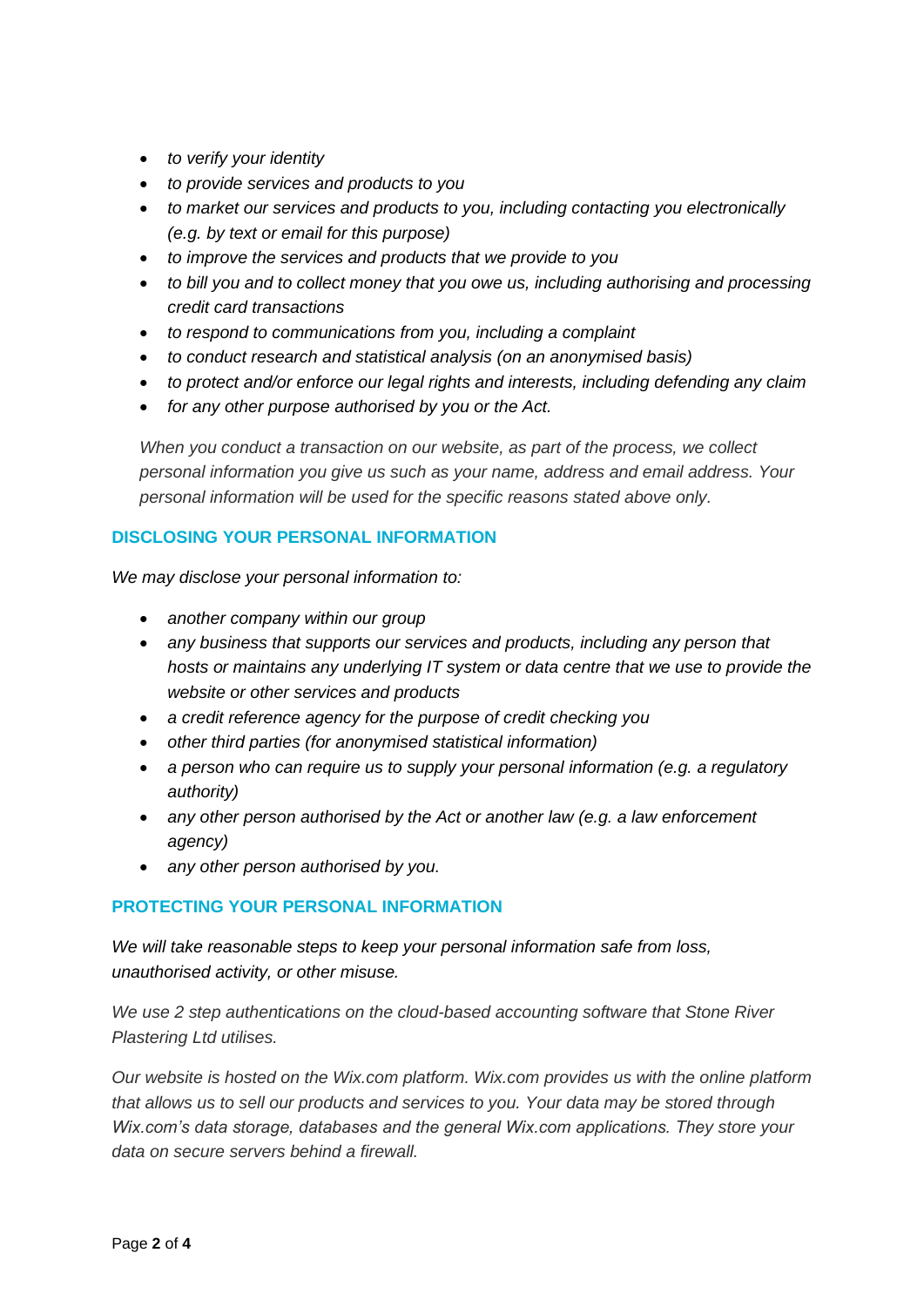- *to verify your identity*
- *to provide services and products to you*
- *to market our services and products to you, including contacting you electronically (e.g. by text or email for this purpose)*
- *to improve the services and products that we provide to you*
- *to bill you and to collect money that you owe us, including authorising and processing credit card transactions*
- *to respond to communications from you, including a complaint*
- *to conduct research and statistical analysis (on an anonymised basis)*
- *to protect and/or enforce our legal rights and interests, including defending any claim*
- *for any other purpose authorised by you or the Act.*

*When you conduct a transaction on our website, as part of the process, we collect personal information you give us such as your name, address and email address. Your personal information will be used for the specific reasons stated above only.*

## **DISCLOSING YOUR PERSONAL INFORMATION**

*We may disclose your personal information to:* 

- *another company within our group*
- *any business that supports our services and products, including any person that hosts or maintains any underlying IT system or data centre that we use to provide the website or other services and products*
- *a credit reference agency for the purpose of credit checking you*
- *other third parties (for anonymised statistical information)*
- *a person who can require us to supply your personal information (e.g. a regulatory authority)*
- *any other person authorised by the Act or another law (e.g. a law enforcement agency)*
- *any other person authorised by you.*

# **PROTECTING YOUR PERSONAL INFORMATION**

*We will take reasonable steps to keep your personal information safe from loss, unauthorised activity, or other misuse.*

*We use 2 step authentications on the cloud-based accounting software that Stone River Plastering Ltd utilises.*

*Our website is hosted on the Wix.com platform. Wix.com provides us with the online platform that allows us to sell our products and services to you. Your data may be stored through Wix.com's data storage, databases and the general Wix.com applications. They store your data on secure servers behind a firewall.*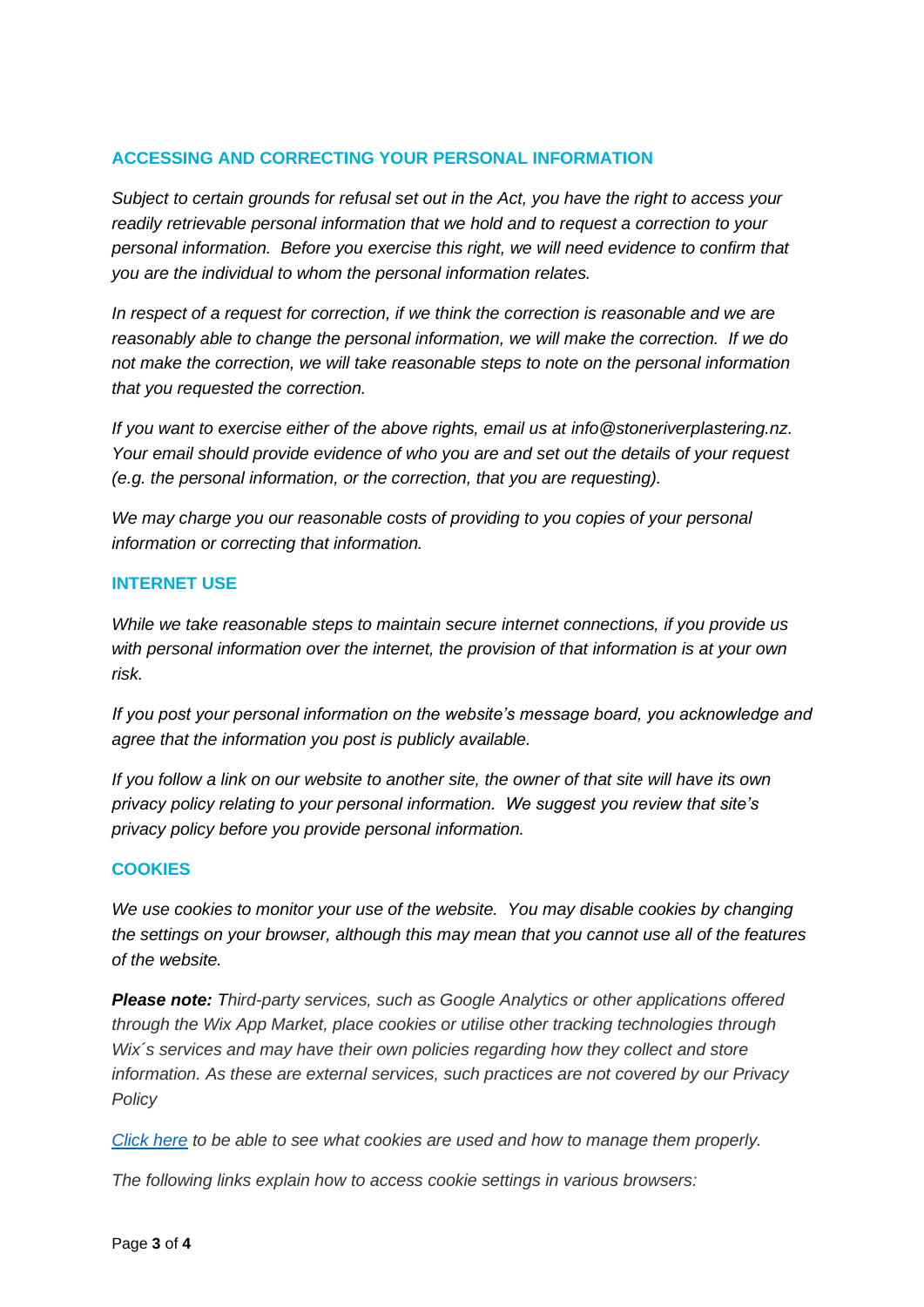## **ACCESSING AND CORRECTING YOUR PERSONAL INFORMATION**

*Subject to certain grounds for refusal set out in the Act, you have the right to access your readily retrievable personal information that we hold and to request a correction to your personal information. Before you exercise this right, we will need evidence to confirm that you are the individual to whom the personal information relates.*

*In respect of a request for correction, if we think the correction is reasonable and we are reasonably able to change the personal information, we will make the correction. If we do not make the correction, we will take reasonable steps to note on the personal information that you requested the correction.*

*If you want to exercise either of the above rights, email us at info@stoneriverplastering.nz. Your email should provide evidence of who you are and set out the details of your request (e.g. the personal information, or the correction, that you are requesting).*

*We may charge you our reasonable costs of providing to you copies of your personal information or correcting that information.*

#### **INTERNET USE**

*While we take reasonable steps to maintain secure internet connections, if you provide us with personal information over the internet, the provision of that information is at your own risk.*

*If you post your personal information on the website's message board, you acknowledge and agree that the information you post is publicly available.*

*If you follow a link on our website to another site, the owner of that site will have its own privacy policy relating to your personal information. We suggest you review that site's privacy policy before you provide personal information.*

#### **COOKIES**

*We use cookies to monitor your use of the website. You may disable cookies by changing the settings on your browser, although this may mean that you cannot use all of the features of the website.* 

*Please note: Third-party services, such as Google Analytics or other applications offered through the Wix App Market, place cookies or utilise other tracking technologies through Wix´s services and may have their own policies regarding how they collect and store information. As these are external services, such practices are not covered by our Privacy Policy*

*[Click here](https://www.allaboutcookies.org/) to be able to see what cookies are used and how to manage them properly.*

*The following links explain how to access cookie settings in various browsers:*